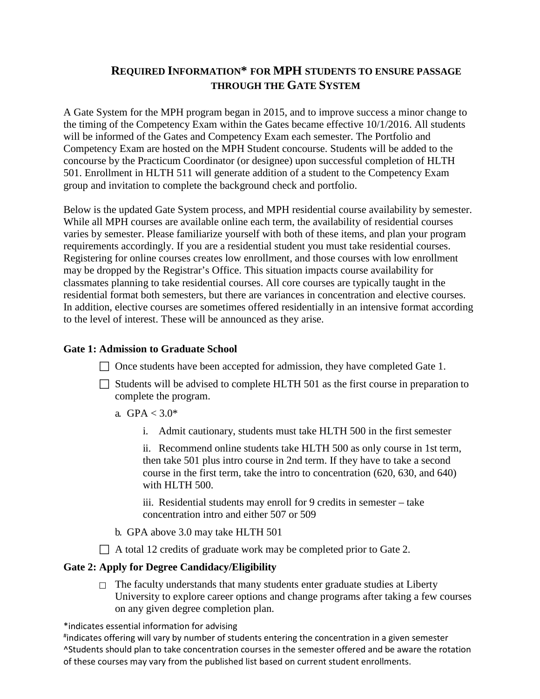# **REQUIRED INFORMATION\* FOR MPH STUDENTS TO ENSURE PASSAGE THROUGH THE GATE SYSTEM**

A Gate System for the MPH program began in 2015, and to improve success a minor change to the timing of the Competency Exam within the Gates became effective 10/1/2016. All students will be informed of the Gates and Competency Exam each semester. The Portfolio and Competency Exam are hosted on the MPH Student concourse. Students will be added to the concourse by the Practicum Coordinator (or designee) upon successful completion of HLTH 501. Enrollment in HLTH 511 will generate addition of a student to the Competency Exam group and invitation to complete the background check and portfolio.

Below is the updated Gate System process, and MPH residential course availability by semester. While all MPH courses are available online each term, the availability of residential courses varies by semester. Please familiarize yourself with both of these items, and plan your program requirements accordingly. If you are a residential student you must take residential courses. Registering for online courses creates low enrollment, and those courses with low enrollment may be dropped by the Registrar's Office. This situation impacts course availability for classmates planning to take residential courses. All core courses are typically taught in the residential format both semesters, but there are variances in concentration and elective courses. In addition, elective courses are sometimes offered residentially in an intensive format according to the level of interest. These will be announced as they arise.

### **Gate 1: Admission to Graduate School**

- $\Box$  Once students have been accepted for admission, they have completed Gate 1.
- $\Box$  Students will be advised to complete HLTH 501 as the first course in preparation to complete the program.
	- a.  $GPA < 3.0*$ 
		- i. Admit cautionary, students must take HLTH 500 in the first semester

ii. Recommend online students take HLTH 500 as only course in 1st term, then take 501 plus intro course in 2nd term. If they have to take a second course in the first term, take the intro to concentration (620, 630, and 640) with HLTH 500.

iii. Residential students may enroll for 9 credits in semester – take concentration intro and either 507 or 509

- b. GPA above 3.0 may take HLTH 501
- $\Box$  A total 12 credits of graduate work may be completed prior to Gate 2.

#### **Gate 2: Apply for Degree Candidacy/Eligibility**

 $\Box$  The faculty understands that many students enter graduate studies at Liberty University to explore career options and change programs after taking a few courses on any given degree completion plan.

\*indicates essential information for advising

# indicates offering will vary by number of students entering the concentration in a given semester ^Students should plan to take concentration courses in the semester offered and be aware the rotation of these courses may vary from the published list based on current student enrollments.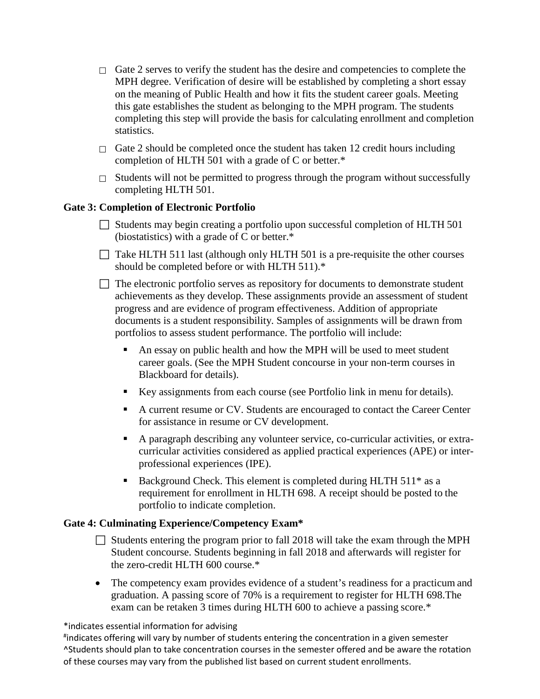- $\Box$  Gate 2 serves to verify the student has the desire and competencies to complete the MPH degree. Verification of desire will be established by completing a short essay on the meaning of Public Health and how it fits the student career goals. Meeting this gate establishes the student as belonging to the MPH program. The students completing this step will provide the basis for calculating enrollment and completion statistics.
- $\Box$  Gate 2 should be completed once the student has taken 12 credit hours including completion of HLTH 501 with a grade of C or better.\*
- $\Box$  Students will not be permitted to progress through the program without successfully completing HLTH 501.

## **Gate 3: Completion of Electronic Portfolio**

- $\Box$  Students may begin creating a portfolio upon successful completion of HLTH 501 (biostatistics) with a grade of C or better.\*
- $\Box$  Take HLTH 511 last (although only HLTH 501 is a pre-requisite the other courses should be completed before or with HLTH 511).\*
- $\Box$  The electronic portfolio serves as repository for documents to demonstrate student achievements as they develop. These assignments provide an assessment of student progress and are evidence of program effectiveness. Addition of appropriate documents is a student responsibility. Samples of assignments will be drawn from portfolios to assess student performance. The portfolio will include:
	- An essay on public health and how the MPH will be used to meet student career goals. (See the MPH Student concourse in your non-term courses in Blackboard for details).
	- Key assignments from each course (see Portfolio link in menu for details).
	- A current resume or CV. Students are encouraged to contact the Career Center for assistance in resume or CV development.
	- A paragraph describing any volunteer service, co-curricular activities, or extracurricular activities considered as applied practical experiences (APE) or interprofessional experiences (IPE).
	- Background Check. This element is completed during HLTH 511<sup>\*</sup> as a requirement for enrollment in HLTH 698. A receipt should be posted to the portfolio to indicate completion.

### **Gate 4: Culminating Experience/Competency Exam\***

- $\Box$  Students entering the program prior to fall 2018 will take the exam through the MPH Student concourse. Students beginning in fall 2018 and afterwards will register for the zero-credit HLTH 600 course.\*
- The competency exam provides evidence of a student's readiness for a practicum and graduation. A passing score of 70% is a requirement to register for HLTH 698.The exam can be retaken 3 times during HLTH 600 to achieve a passing score.\*

### \*indicates essential information for advising

# indicates offering will vary by number of students entering the concentration in a given semester ^Students should plan to take concentration courses in the semester offered and be aware the rotation of these courses may vary from the published list based on current student enrollments.